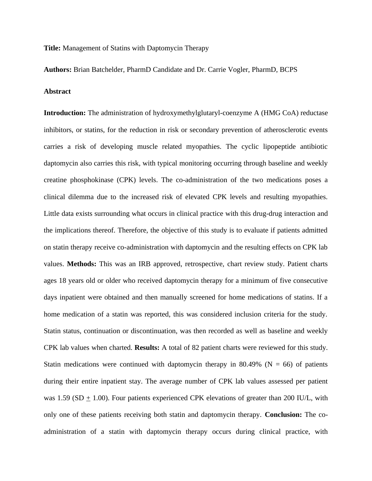**Title:** Management of Statins with Daptomycin Therapy

**Authors:** Brian Batchelder, PharmD Candidate and Dr. Carrie Vogler, PharmD, BCPS

## **Abstract**

**Introduction:** The administration of hydroxymethylglutaryl-coenzyme A (HMG CoA) reductase inhibitors, or statins, for the reduction in risk or secondary prevention of atherosclerotic events carries a risk of developing muscle related myopathies. The cyclic lipopeptide antibiotic daptomycin also carries this risk, with typical monitoring occurring through baseline and weekly creatine phosphokinase (CPK) levels. The co-administration of the two medications poses a clinical dilemma due to the increased risk of elevated CPK levels and resulting myopathies. Little data exists surrounding what occurs in clinical practice with this drug-drug interaction and the implications thereof. Therefore, the objective of this study is to evaluate if patients admitted on statin therapy receive co-administration with daptomycin and the resulting effects on CPK lab values. **Methods:** This was an IRB approved, retrospective, chart review study. Patient charts ages 18 years old or older who received daptomycin therapy for a minimum of five consecutive days inpatient were obtained and then manually screened for home medications of statins. If a home medication of a statin was reported, this was considered inclusion criteria for the study. Statin status, continuation or discontinuation, was then recorded as well as baseline and weekly CPK lab values when charted. **Results:** A total of 82 patient charts were reviewed for this study. Statin medications were continued with daptomycin therapy in 80.49% ( $N = 66$ ) of patients during their entire inpatient stay. The average number of CPK lab values assessed per patient was 1.59 (SD  $\pm$  1.00). Four patients experienced CPK elevations of greater than 200 IU/L, with only one of these patients receiving both statin and daptomycin therapy. **Conclusion:** The coadministration of a statin with daptomycin therapy occurs during clinical practice, with